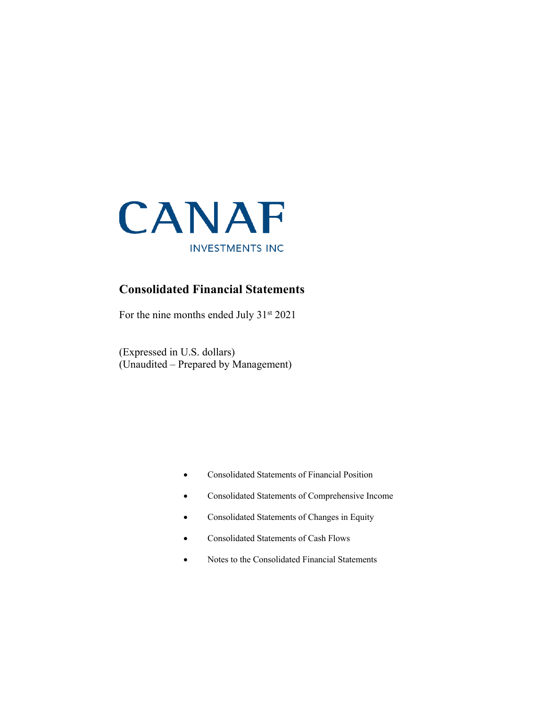

### **Consolidated Financial Statements**

For the nine months ended July 31<sup>st</sup> 2021

(Expressed in U.S. dollars) (Unaudited – Prepared by Management)

- Consolidated Statements of Financial Position
- Consolidated Statements of Comprehensive Income
- Consolidated Statements of Changes in Equity
- Consolidated Statements of Cash Flows
- Notes to the Consolidated Financial Statements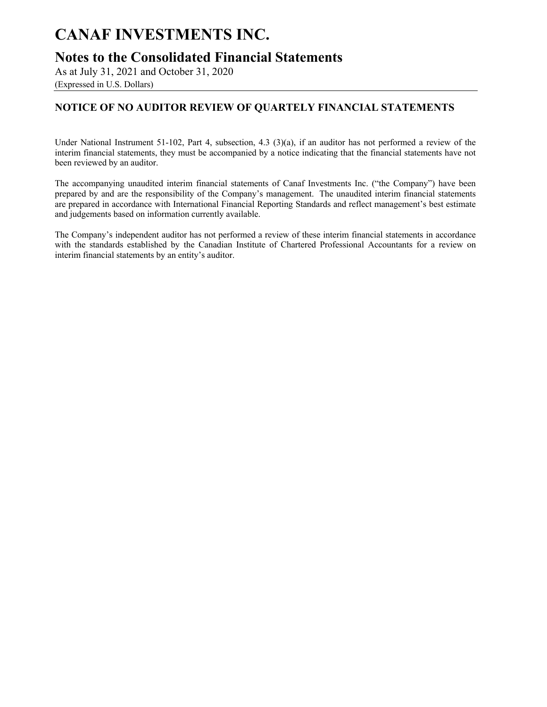**Notes to the Consolidated Financial Statements**

As at July 31, 2021 and October 31, 2020

(Expressed in U.S. Dollars)

### **NOTICE OF NO AUDITOR REVIEW OF QUARTELY FINANCIAL STATEMENTS**

Under National Instrument 51-102, Part 4, subsection, 4.3 (3)(a), if an auditor has not performed a review of the interim financial statements, they must be accompanied by a notice indicating that the financial statements have not been reviewed by an auditor.

The accompanying unaudited interim financial statements of Canaf Investments Inc. ("the Company") have been prepared by and are the responsibility of the Company's management. The unaudited interim financial statements are prepared in accordance with International Financial Reporting Standards and reflect management's best estimate and judgements based on information currently available.

The Company's independent auditor has not performed a review of these interim financial statements in accordance with the standards established by the Canadian Institute of Chartered Professional Accountants for a review on interim financial statements by an entity's auditor.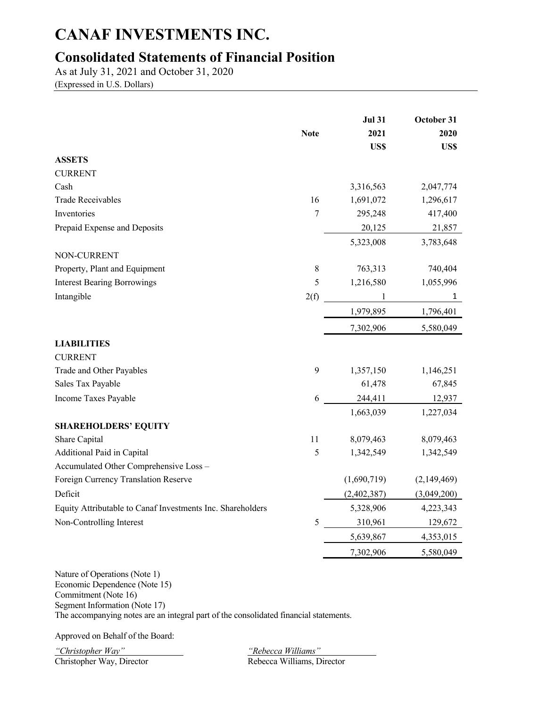## **Consolidated Statements of Financial Position**

As at July 31, 2021 and October 31, 2020

(Expressed in U.S. Dollars)

|                                                            | <b>Note</b>    | <b>Jul 31</b><br>2021<br>US\$ | October 31<br>2020<br>US\$ |
|------------------------------------------------------------|----------------|-------------------------------|----------------------------|
| <b>ASSETS</b>                                              |                |                               |                            |
| <b>CURRENT</b>                                             |                |                               |                            |
| Cash                                                       |                | 3,316,563                     | 2,047,774                  |
| <b>Trade Receivables</b>                                   | 16             | 1,691,072                     | 1,296,617                  |
| Inventories                                                | $\overline{7}$ | 295,248                       | 417,400                    |
| Prepaid Expense and Deposits                               |                | 20,125                        | 21,857                     |
|                                                            |                | 5,323,008                     | 3,783,648                  |
| NON-CURRENT                                                |                |                               |                            |
| Property, Plant and Equipment                              | $8\,$          | 763,313                       | 740,404                    |
| <b>Interest Bearing Borrowings</b>                         | 5              | 1,216,580                     | 1,055,996                  |
| Intangible                                                 | 2(f)           |                               | 1                          |
|                                                            |                | 1,979,895                     | 1,796,401                  |
|                                                            |                | 7,302,906                     | 5,580,049                  |
| <b>LIABILITIES</b>                                         |                |                               |                            |
| <b>CURRENT</b>                                             |                |                               |                            |
| Trade and Other Payables                                   | 9              | 1,357,150                     | 1,146,251                  |
| Sales Tax Payable                                          |                | 61,478                        | 67,845                     |
| Income Taxes Payable                                       | 6              | 244,411                       | 12,937                     |
|                                                            |                | 1,663,039                     | 1,227,034                  |
| <b>SHAREHOLDERS' EQUITY</b>                                |                |                               |                            |
| Share Capital                                              | 11             | 8,079,463                     | 8,079,463                  |
| Additional Paid in Capital                                 | 5              | 1,342,549                     | 1,342,549                  |
| Accumulated Other Comprehensive Loss -                     |                |                               |                            |
| Foreign Currency Translation Reserve                       |                | (1,690,719)                   | (2,149,469)                |
| Deficit                                                    |                | (2,402,387)                   | (3,049,200)                |
| Equity Attributable to Canaf Investments Inc. Shareholders |                | 5,328,906                     | 4,223,343                  |
| Non-Controlling Interest                                   | 5              | 310,961                       | 129,672                    |
|                                                            |                | 5,639,867                     | 4,353,015                  |
|                                                            |                | 7,302,906                     | 5,580,049                  |

Nature of Operations (Note 1) Economic Dependence (Note 15) Commitment (Note 16) Segment Information (Note 17) The accompanying notes are an integral part of the consolidated financial statements.

Approved on Behalf of the Board:

*"Christopher Way" "Rebecca Williams"*

Rebecca Williams, Director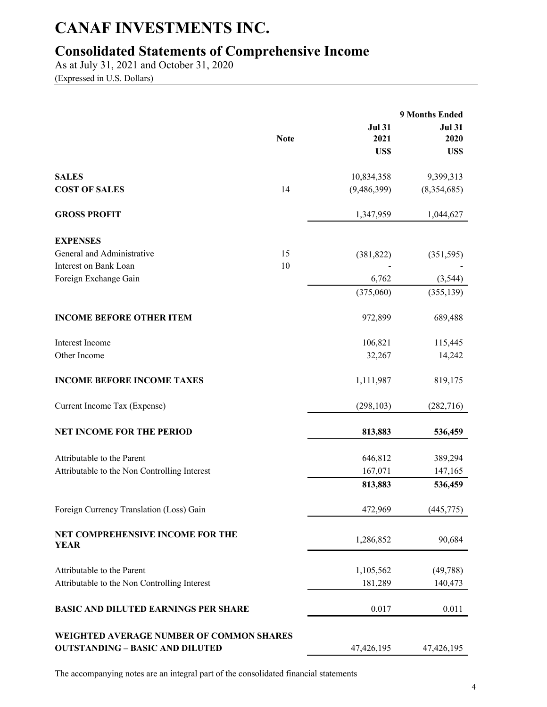# **Consolidated Statements of Comprehensive Income**

As at July 31, 2021 and October 31, 2020 (Expressed in U.S. Dollars)

|                                                                                    |             |                               | 9 Months Ended                |
|------------------------------------------------------------------------------------|-------------|-------------------------------|-------------------------------|
|                                                                                    | <b>Note</b> | <b>Jul 31</b><br>2021<br>US\$ | <b>Jul 31</b><br>2020<br>US\$ |
| <b>SALES</b>                                                                       |             | 10,834,358                    | 9,399,313                     |
| <b>COST OF SALES</b>                                                               | 14          | (9,486,399)                   | (8,354,685)                   |
| <b>GROSS PROFIT</b>                                                                |             | 1,347,959                     | 1,044,627                     |
| <b>EXPENSES</b>                                                                    |             |                               |                               |
| General and Administrative                                                         | 15          | (381, 822)                    | (351, 595)                    |
| Interest on Bank Loan                                                              | 10          |                               |                               |
| Foreign Exchange Gain                                                              |             | 6,762                         | (3, 544)                      |
|                                                                                    |             | (375,060)                     | (355, 139)                    |
| <b>INCOME BEFORE OTHER ITEM</b>                                                    |             | 972,899                       | 689,488                       |
| Interest Income                                                                    |             | 106,821                       | 115,445                       |
| Other Income                                                                       |             | 32,267                        | 14,242                        |
| <b>INCOME BEFORE INCOME TAXES</b>                                                  |             | 1,111,987                     | 819,175                       |
| Current Income Tax (Expense)                                                       |             | (298, 103)                    | (282, 716)                    |
| <b>NET INCOME FOR THE PERIOD</b>                                                   |             | 813,883                       | 536,459                       |
| Attributable to the Parent                                                         |             | 646,812                       | 389,294                       |
| Attributable to the Non Controlling Interest                                       |             | 167,071                       | 147,165                       |
|                                                                                    |             | 813,883                       | 536,459                       |
| Foreign Currency Translation (Loss) Gain                                           |             | 472,969                       | (445, 775)                    |
| NET COMPREHENSIVE INCOME FOR THE<br><b>YEAR</b>                                    |             | 1,286,852                     | 90,684                        |
| Attributable to the Parent                                                         |             | 1,105,562                     | (49, 788)                     |
| Attributable to the Non Controlling Interest                                       |             | 181,289                       | 140,473                       |
| <b>BASIC AND DILUTED EARNINGS PER SHARE</b>                                        |             | 0.017                         | 0.011                         |
| WEIGHTED AVERAGE NUMBER OF COMMON SHARES<br><b>OUTSTANDING - BASIC AND DILUTED</b> |             | 47,426,195                    | 47,426,195                    |

The accompanying notes are an integral part of the consolidated financial statements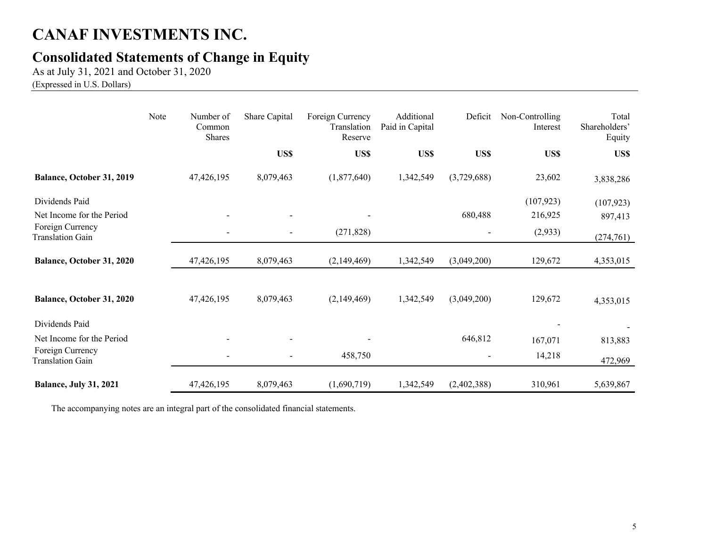## **Consolidated Statements of Change in Equity**

As at July 31, 2021 and October 31, 2020

(Expressed in U.S. Dollars)

|                                             | Note | Number of<br>Common<br><b>Shares</b> | Share Capital            | Foreign Currency<br>Translation<br>Reserve | Additional<br>Paid in Capital | Deficit     | Non-Controlling<br>Interest | Total<br>Shareholders'<br>Equity |
|---------------------------------------------|------|--------------------------------------|--------------------------|--------------------------------------------|-------------------------------|-------------|-----------------------------|----------------------------------|
|                                             |      |                                      | US\$                     | US\$                                       | US\$                          | US\$        | US\$                        | US\$                             |
| Balance, October 31, 2019                   |      | 47,426,195                           | 8,079,463                | (1,877,640)                                | 1,342,549                     | (3,729,688) | 23,602                      | 3,838,286                        |
| Dividends Paid<br>Net Income for the Period |      |                                      |                          |                                            |                               | 680,488     | (107, 923)<br>216,925       | (107, 923)<br>897,413            |
| Foreign Currency<br><b>Translation Gain</b> |      | $\overline{\phantom{a}}$             | $\overline{\phantom{a}}$ | (271, 828)                                 |                               |             | (2,933)                     | (274, 761)                       |
| Balance, October 31, 2020                   |      | 47,426,195                           | 8,079,463                | (2,149,469)                                | 1,342,549                     | (3,049,200) | 129,672                     | 4,353,015                        |
| Balance, October 31, 2020                   |      | 47,426,195                           | 8,079,463                | (2,149,469)                                | 1,342,549                     | (3,049,200) | 129,672                     | 4,353,015                        |
| Dividends Paid                              |      |                                      |                          |                                            |                               |             |                             |                                  |
| Net Income for the Period                   |      |                                      |                          |                                            |                               | 646,812     | 167,071                     | 813,883                          |
| Foreign Currency<br><b>Translation Gain</b> |      |                                      |                          | 458,750                                    |                               |             | 14,218                      | 472,969                          |
| <b>Balance, July 31, 2021</b>               |      | 47,426,195                           | 8,079,463                | (1,690,719)                                | 1,342,549                     | (2,402,388) | 310,961                     | 5,639,867                        |

The accompanying notes are an integral part of the consolidated financial statements.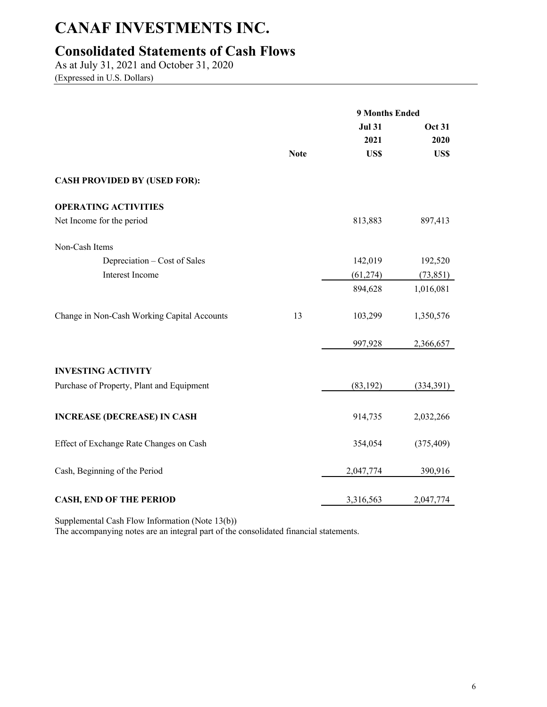## **Consolidated Statements of Cash Flows**

As at July 31, 2021 and October 31, 2020 (Expressed in U.S. Dollars)

|                                             |             | <b>9 Months Ended</b> |               |
|---------------------------------------------|-------------|-----------------------|---------------|
|                                             |             | <b>Jul 31</b>         | <b>Oct 31</b> |
|                                             |             | 2021                  | 2020          |
|                                             | <b>Note</b> | US\$                  | US\$          |
| <b>CASH PROVIDED BY (USED FOR):</b>         |             |                       |               |
| <b>OPERATING ACTIVITIES</b>                 |             |                       |               |
| Net Income for the period                   |             | 813,883               | 897,413       |
| Non-Cash Items                              |             |                       |               |
| Depreciation – Cost of Sales                |             | 142,019               | 192,520       |
| Interest Income                             |             | (61, 274)             | (73, 851)     |
|                                             |             | 894,628               | 1,016,081     |
| Change in Non-Cash Working Capital Accounts | 13          | 103,299               | 1,350,576     |
|                                             |             | 997,928               | 2,366,657     |
| <b>INVESTING ACTIVITY</b>                   |             |                       |               |
| Purchase of Property, Plant and Equipment   |             | (83, 192)             | (334,391)     |
| <b>INCREASE (DECREASE) IN CASH</b>          |             | 914,735               | 2,032,266     |
| Effect of Exchange Rate Changes on Cash     |             | 354,054               | (375, 409)    |
| Cash, Beginning of the Period               |             | 2,047,774             | 390,916       |
| <b>CASH, END OF THE PERIOD</b>              |             | 3,316,563             | 2,047,774     |

Supplemental Cash Flow Information (Note 13(b))

The accompanying notes are an integral part of the consolidated financial statements.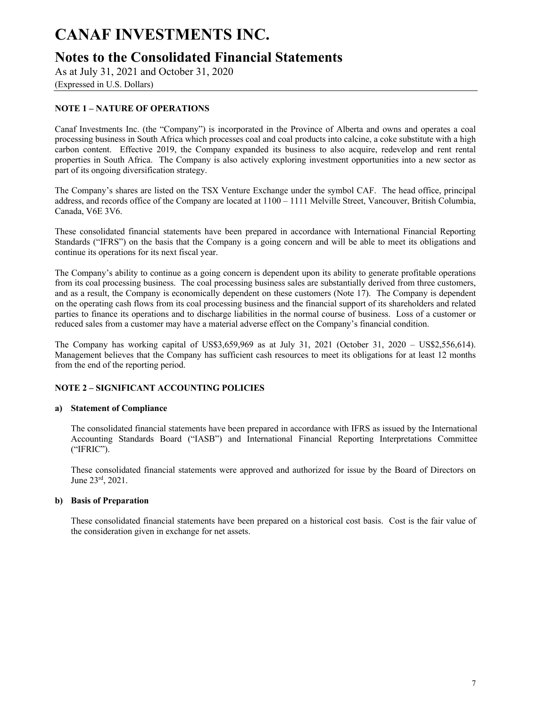## **Notes to the Consolidated Financial Statements**

As at July 31, 2021 and October 31, 2020

(Expressed in U.S. Dollars)

### **NOTE 1 – NATURE OF OPERATIONS**

Canaf Investments Inc. (the "Company") is incorporated in the Province of Alberta and owns and operates a coal processing business in South Africa which processes coal and coal products into calcine, a coke substitute with a high carbon content. Effective 2019, the Company expanded its business to also acquire, redevelop and rent rental properties in South Africa. The Company is also actively exploring investment opportunities into a new sector as part of its ongoing diversification strategy.

The Company's shares are listed on the TSX Venture Exchange under the symbol CAF. The head office, principal address, and records office of the Company are located at 1100 – 1111 Melville Street, Vancouver, British Columbia, Canada, V6E 3V6.

These consolidated financial statements have been prepared in accordance with International Financial Reporting Standards ("IFRS") on the basis that the Company is a going concern and will be able to meet its obligations and continue its operations for its next fiscal year.

The Company's ability to continue as a going concern is dependent upon its ability to generate profitable operations from its coal processing business. The coal processing business sales are substantially derived from three customers, and as a result, the Company is economically dependent on these customers (Note 17). The Company is dependent on the operating cash flows from its coal processing business and the financial support of its shareholders and related parties to finance its operations and to discharge liabilities in the normal course of business. Loss of a customer or reduced sales from a customer may have a material adverse effect on the Company's financial condition.

The Company has working capital of US\$3,659,969 as at July 31, 2021 (October 31, 2020 – US\$2,556,614). Management believes that the Company has sufficient cash resources to meet its obligations for at least 12 months from the end of the reporting period.

#### **NOTE 2 – SIGNIFICANT ACCOUNTING POLICIES**

#### **a) Statement of Compliance**

The consolidated financial statements have been prepared in accordance with IFRS as issued by the International Accounting Standards Board ("IASB") and International Financial Reporting Interpretations Committee ("IFRIC").

These consolidated financial statements were approved and authorized for issue by the Board of Directors on June 23rd, 2021.

#### **b) Basis of Preparation**

These consolidated financial statements have been prepared on a historical cost basis. Cost is the fair value of the consideration given in exchange for net assets.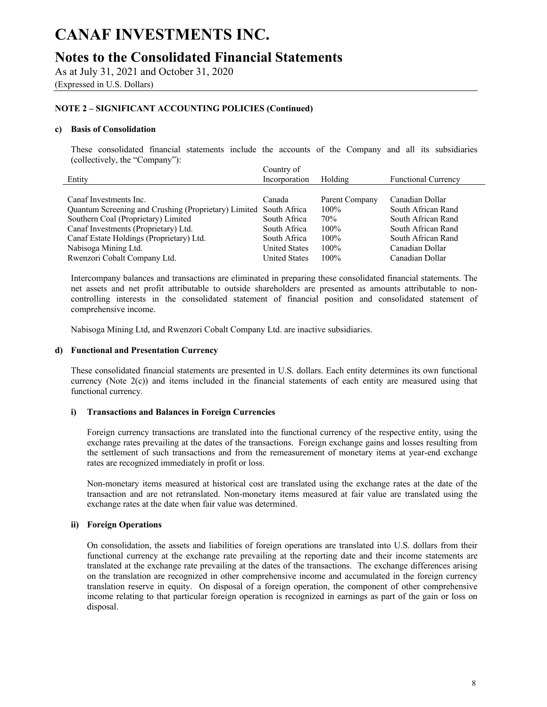### **Notes to the Consolidated Financial Statements**

As at July 31, 2021 and October 31, 2020

(Expressed in U.S. Dollars)

### **NOTE 2 – SIGNIFICANT ACCOUNTING POLICIES (Continued)**

#### **c) Basis of Consolidation**

These consolidated financial statements include the accounts of the Company and all its subsidiaries (collectively, the "Company"):

|                                                                   | Country of           |                |                            |
|-------------------------------------------------------------------|----------------------|----------------|----------------------------|
| Entity                                                            | Incorporation        | Holding        | <b>Functional Currency</b> |
|                                                                   |                      |                |                            |
| Canaf Investments Inc.                                            | Canada               | Parent Company | Canadian Dollar            |
| Quantum Screening and Crushing (Proprietary) Limited South Africa |                      | 100%           | South African Rand         |
| Southern Coal (Proprietary) Limited                               | South Africa         | 70%            | South African Rand         |
| Canaf Investments (Proprietary) Ltd.                              | South Africa         | 100%           | South African Rand         |
| Canaf Estate Holdings (Proprietary) Ltd.                          | South Africa         | 100%           | South African Rand         |
| Nabisoga Mining Ltd.                                              | <b>United States</b> | 100%           | Canadian Dollar            |
| Rwenzori Cobalt Company Ltd.                                      | <b>United States</b> | 100%           | Canadian Dollar            |

Intercompany balances and transactions are eliminated in preparing these consolidated financial statements. The net assets and net profit attributable to outside shareholders are presented as amounts attributable to noncontrolling interests in the consolidated statement of financial position and consolidated statement of comprehensive income.

Nabisoga Mining Ltd, and Rwenzori Cobalt Company Ltd. are inactive subsidiaries.

#### **d) Functional and Presentation Currency**

These consolidated financial statements are presented in U.S. dollars. Each entity determines its own functional currency (Note 2(c)) and items included in the financial statements of each entity are measured using that functional currency.

#### **i) Transactions and Balances in Foreign Currencies**

Foreign currency transactions are translated into the functional currency of the respective entity, using the exchange rates prevailing at the dates of the transactions. Foreign exchange gains and losses resulting from the settlement of such transactions and from the remeasurement of monetary items at year-end exchange rates are recognized immediately in profit or loss.

Non-monetary items measured at historical cost are translated using the exchange rates at the date of the transaction and are not retranslated. Non-monetary items measured at fair value are translated using the exchange rates at the date when fair value was determined.

#### **ii) Foreign Operations**

On consolidation, the assets and liabilities of foreign operations are translated into U.S. dollars from their functional currency at the exchange rate prevailing at the reporting date and their income statements are translated at the exchange rate prevailing at the dates of the transactions. The exchange differences arising on the translation are recognized in other comprehensive income and accumulated in the foreign currency translation reserve in equity. On disposal of a foreign operation, the component of other comprehensive income relating to that particular foreign operation is recognized in earnings as part of the gain or loss on disposal.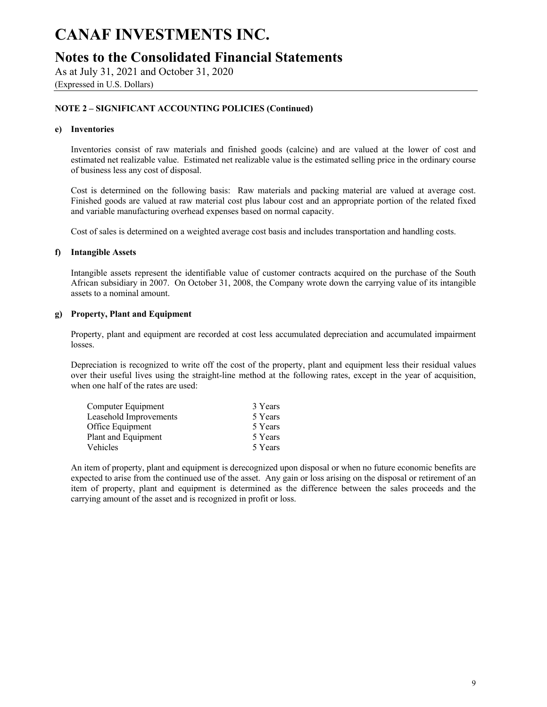**Notes to the Consolidated Financial Statements**

As at July 31, 2021 and October 31, 2020

(Expressed in U.S. Dollars)

### **NOTE 2 – SIGNIFICANT ACCOUNTING POLICIES (Continued)**

#### **e) Inventories**

Inventories consist of raw materials and finished goods (calcine) and are valued at the lower of cost and estimated net realizable value. Estimated net realizable value is the estimated selling price in the ordinary course of business less any cost of disposal.

Cost is determined on the following basis: Raw materials and packing material are valued at average cost. Finished goods are valued at raw material cost plus labour cost and an appropriate portion of the related fixed and variable manufacturing overhead expenses based on normal capacity.

Cost of sales is determined on a weighted average cost basis and includes transportation and handling costs.

#### **f) Intangible Assets**

Intangible assets represent the identifiable value of customer contracts acquired on the purchase of the South African subsidiary in 2007. On October 31, 2008, the Company wrote down the carrying value of its intangible assets to a nominal amount.

#### **g) Property, Plant and Equipment**

Property, plant and equipment are recorded at cost less accumulated depreciation and accumulated impairment losses.

Depreciation is recognized to write off the cost of the property, plant and equipment less their residual values over their useful lives using the straight-line method at the following rates, except in the year of acquisition, when one half of the rates are used:

| 3 Years |
|---------|
| 5 Years |
| 5 Years |
| 5 Years |
| 5 Years |
|         |

An item of property, plant and equipment is derecognized upon disposal or when no future economic benefits are expected to arise from the continued use of the asset. Any gain or loss arising on the disposal or retirement of an item of property, plant and equipment is determined as the difference between the sales proceeds and the carrying amount of the asset and is recognized in profit or loss.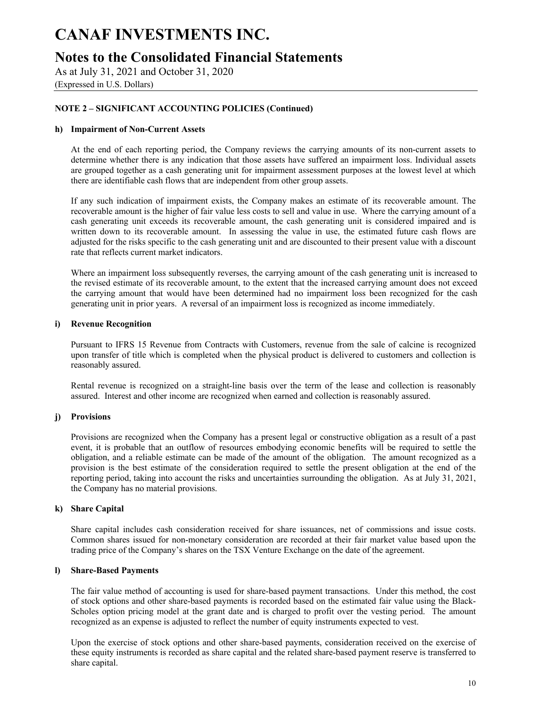## **Notes to the Consolidated Financial Statements**

As at July 31, 2021 and October 31, 2020

(Expressed in U.S. Dollars)

### **NOTE 2 – SIGNIFICANT ACCOUNTING POLICIES (Continued)**

#### **h) Impairment of Non-Current Assets**

At the end of each reporting period, the Company reviews the carrying amounts of its non-current assets to determine whether there is any indication that those assets have suffered an impairment loss. Individual assets are grouped together as a cash generating unit for impairment assessment purposes at the lowest level at which there are identifiable cash flows that are independent from other group assets.

If any such indication of impairment exists, the Company makes an estimate of its recoverable amount. The recoverable amount is the higher of fair value less costs to sell and value in use. Where the carrying amount of a cash generating unit exceeds its recoverable amount, the cash generating unit is considered impaired and is written down to its recoverable amount. In assessing the value in use, the estimated future cash flows are adjusted for the risks specific to the cash generating unit and are discounted to their present value with a discount rate that reflects current market indicators.

Where an impairment loss subsequently reverses, the carrying amount of the cash generating unit is increased to the revised estimate of its recoverable amount, to the extent that the increased carrying amount does not exceed the carrying amount that would have been determined had no impairment loss been recognized for the cash generating unit in prior years. A reversal of an impairment loss is recognized as income immediately.

#### **i) Revenue Recognition**

Pursuant to IFRS 15 Revenue from Contracts with Customers, revenue from the sale of calcine is recognized upon transfer of title which is completed when the physical product is delivered to customers and collection is reasonably assured.

Rental revenue is recognized on a straight-line basis over the term of the lease and collection is reasonably assured. Interest and other income are recognized when earned and collection is reasonably assured.

#### **j) Provisions**

Provisions are recognized when the Company has a present legal or constructive obligation as a result of a past event, it is probable that an outflow of resources embodying economic benefits will be required to settle the obligation, and a reliable estimate can be made of the amount of the obligation. The amount recognized as a provision is the best estimate of the consideration required to settle the present obligation at the end of the reporting period, taking into account the risks and uncertainties surrounding the obligation. As at July 31, 2021, the Company has no material provisions.

#### **k) Share Capital**

Share capital includes cash consideration received for share issuances, net of commissions and issue costs. Common shares issued for non-monetary consideration are recorded at their fair market value based upon the trading price of the Company's shares on the TSX Venture Exchange on the date of the agreement.

#### **l) Share-Based Payments**

The fair value method of accounting is used for share-based payment transactions. Under this method, the cost of stock options and other share-based payments is recorded based on the estimated fair value using the Black-Scholes option pricing model at the grant date and is charged to profit over the vesting period. The amount recognized as an expense is adjusted to reflect the number of equity instruments expected to vest.

Upon the exercise of stock options and other share-based payments, consideration received on the exercise of these equity instruments is recorded as share capital and the related share-based payment reserve is transferred to share capital.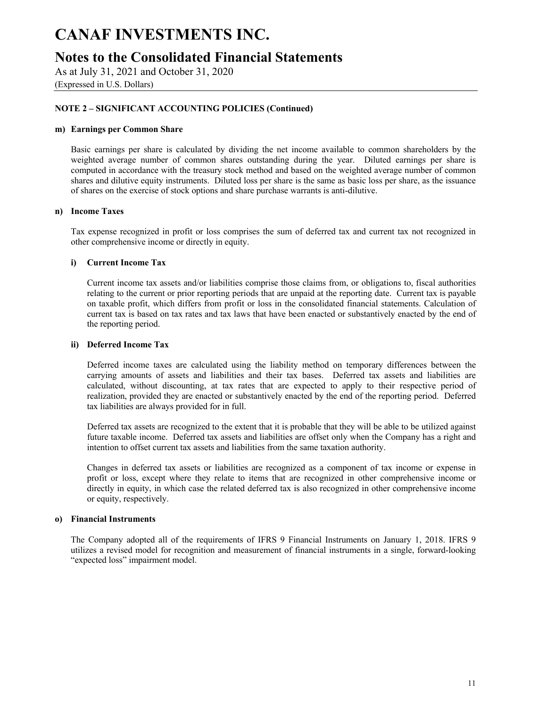### **Notes to the Consolidated Financial Statements**

As at July 31, 2021 and October 31, 2020

(Expressed in U.S. Dollars)

### **NOTE 2 – SIGNIFICANT ACCOUNTING POLICIES (Continued)**

#### **m) Earnings per Common Share**

Basic earnings per share is calculated by dividing the net income available to common shareholders by the weighted average number of common shares outstanding during the year. Diluted earnings per share is computed in accordance with the treasury stock method and based on the weighted average number of common shares and dilutive equity instruments. Diluted loss per share is the same as basic loss per share, as the issuance of shares on the exercise of stock options and share purchase warrants is anti-dilutive.

#### **n) Income Taxes**

Tax expense recognized in profit or loss comprises the sum of deferred tax and current tax not recognized in other comprehensive income or directly in equity.

#### **i) Current Income Tax**

Current income tax assets and/or liabilities comprise those claims from, or obligations to, fiscal authorities relating to the current or prior reporting periods that are unpaid at the reporting date. Current tax is payable on taxable profit, which differs from profit or loss in the consolidated financial statements. Calculation of current tax is based on tax rates and tax laws that have been enacted or substantively enacted by the end of the reporting period.

#### **ii) Deferred Income Tax**

Deferred income taxes are calculated using the liability method on temporary differences between the carrying amounts of assets and liabilities and their tax bases. Deferred tax assets and liabilities are calculated, without discounting, at tax rates that are expected to apply to their respective period of realization, provided they are enacted or substantively enacted by the end of the reporting period. Deferred tax liabilities are always provided for in full.

Deferred tax assets are recognized to the extent that it is probable that they will be able to be utilized against future taxable income. Deferred tax assets and liabilities are offset only when the Company has a right and intention to offset current tax assets and liabilities from the same taxation authority.

Changes in deferred tax assets or liabilities are recognized as a component of tax income or expense in profit or loss, except where they relate to items that are recognized in other comprehensive income or directly in equity, in which case the related deferred tax is also recognized in other comprehensive income or equity, respectively.

#### **o) Financial Instruments**

The Company adopted all of the requirements of IFRS 9 Financial Instruments on January 1, 2018. IFRS 9 utilizes a revised model for recognition and measurement of financial instruments in a single, forward-looking "expected loss" impairment model.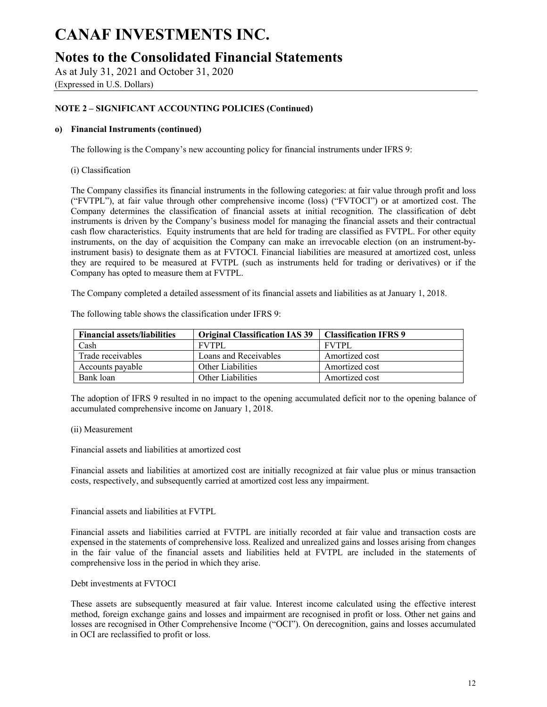### **Notes to the Consolidated Financial Statements**

As at July 31, 2021 and October 31, 2020 (Expressed in U.S. Dollars)

### **NOTE 2 – SIGNIFICANT ACCOUNTING POLICIES (Continued)**

#### **o) Financial Instruments (continued)**

The following is the Company's new accounting policy for financial instruments under IFRS 9:

#### (i) Classification

The Company classifies its financial instruments in the following categories: at fair value through profit and loss ("FVTPL"), at fair value through other comprehensive income (loss) ("FVTOCI") or at amortized cost. The Company determines the classification of financial assets at initial recognition. The classification of debt instruments is driven by the Company's business model for managing the financial assets and their contractual cash flow characteristics. Equity instruments that are held for trading are classified as FVTPL. For other equity instruments, on the day of acquisition the Company can make an irrevocable election (on an instrument-byinstrument basis) to designate them as at FVTOCI. Financial liabilities are measured at amortized cost, unless they are required to be measured at FVTPL (such as instruments held for trading or derivatives) or if the Company has opted to measure them at FVTPL.

The Company completed a detailed assessment of its financial assets and liabilities as at January 1, 2018.

| <b>Financial assets/liabilities</b> | <b>Original Classification IAS 39</b> | <b>Classification IFRS 9</b> |
|-------------------------------------|---------------------------------------|------------------------------|
| Cash                                | <b>FVTPL</b>                          | <b>FVTPL</b>                 |
| Trade receivables                   | Loans and Receivables                 | Amortized cost               |

Accounts payable | Other Liabilities | Amortized cost Bank loan **Dumber 2** Other Liabilities **Amortized cost** 

The following table shows the classification under IFRS 9:

The adoption of IFRS 9 resulted in no impact to the opening accumulated deficit nor to the opening balance of accumulated comprehensive income on January 1, 2018.

#### (ii) Measurement

Financial assets and liabilities at amortized cost

Financial assets and liabilities at amortized cost are initially recognized at fair value plus or minus transaction costs, respectively, and subsequently carried at amortized cost less any impairment.

Financial assets and liabilities at FVTPL

Financial assets and liabilities carried at FVTPL are initially recorded at fair value and transaction costs are expensed in the statements of comprehensive loss. Realized and unrealized gains and losses arising from changes in the fair value of the financial assets and liabilities held at FVTPL are included in the statements of comprehensive loss in the period in which they arise.

#### Debt investments at FVTOCI

These assets are subsequently measured at fair value. Interest income calculated using the effective interest method, foreign exchange gains and losses and impairment are recognised in profit or loss. Other net gains and losses are recognised in Other Comprehensive Income ("OCI"). On derecognition, gains and losses accumulated in OCI are reclassified to profit or loss.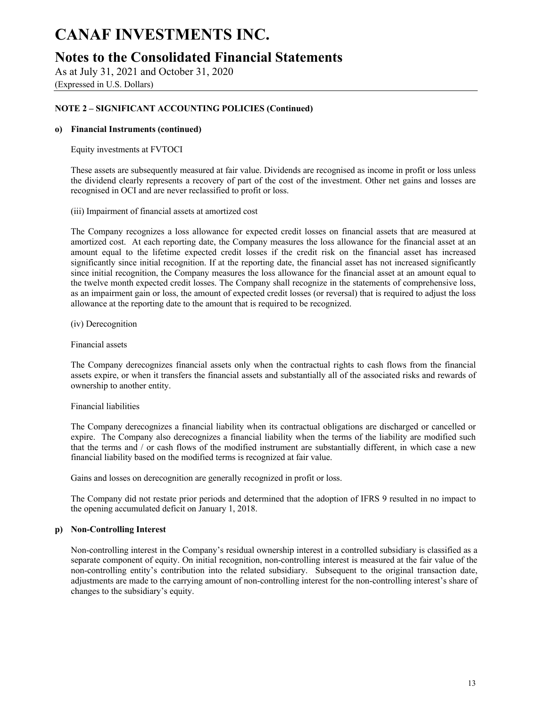### **Notes to the Consolidated Financial Statements**

As at July 31, 2021 and October 31, 2020

(Expressed in U.S. Dollars)

### **NOTE 2 – SIGNIFICANT ACCOUNTING POLICIES (Continued)**

#### **o) Financial Instruments (continued)**

Equity investments at FVTOCI

These assets are subsequently measured at fair value. Dividends are recognised as income in profit or loss unless the dividend clearly represents a recovery of part of the cost of the investment. Other net gains and losses are recognised in OCI and are never reclassified to profit or loss.

(iii) Impairment of financial assets at amortized cost

The Company recognizes a loss allowance for expected credit losses on financial assets that are measured at amortized cost. At each reporting date, the Company measures the loss allowance for the financial asset at an amount equal to the lifetime expected credit losses if the credit risk on the financial asset has increased significantly since initial recognition. If at the reporting date, the financial asset has not increased significantly since initial recognition, the Company measures the loss allowance for the financial asset at an amount equal to the twelve month expected credit losses. The Company shall recognize in the statements of comprehensive loss, as an impairment gain or loss, the amount of expected credit losses (or reversal) that is required to adjust the loss allowance at the reporting date to the amount that is required to be recognized.

(iv) Derecognition

Financial assets

The Company derecognizes financial assets only when the contractual rights to cash flows from the financial assets expire, or when it transfers the financial assets and substantially all of the associated risks and rewards of ownership to another entity.

#### Financial liabilities

The Company derecognizes a financial liability when its contractual obligations are discharged or cancelled or expire. The Company also derecognizes a financial liability when the terms of the liability are modified such that the terms and / or cash flows of the modified instrument are substantially different, in which case a new financial liability based on the modified terms is recognized at fair value.

Gains and losses on derecognition are generally recognized in profit or loss.

The Company did not restate prior periods and determined that the adoption of IFRS 9 resulted in no impact to the opening accumulated deficit on January 1, 2018.

#### **p) Non-Controlling Interest**

Non-controlling interest in the Company's residual ownership interest in a controlled subsidiary is classified as a separate component of equity. On initial recognition, non-controlling interest is measured at the fair value of the non-controlling entity's contribution into the related subsidiary. Subsequent to the original transaction date, adjustments are made to the carrying amount of non-controlling interest for the non-controlling interest's share of changes to the subsidiary's equity.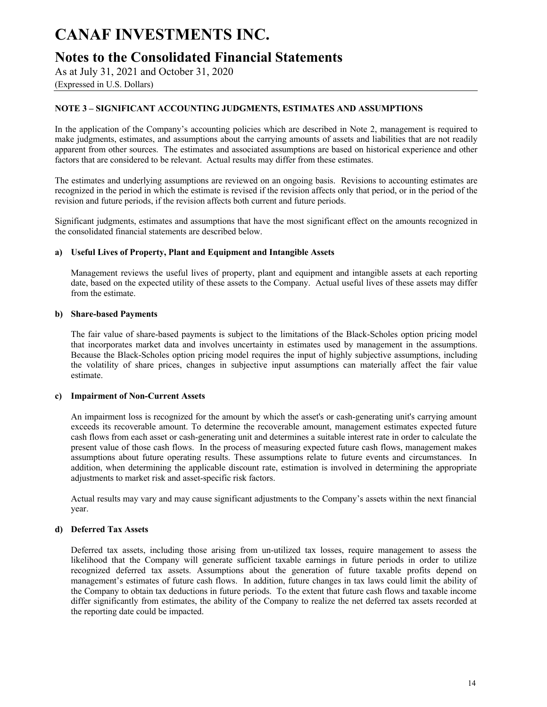## **Notes to the Consolidated Financial Statements**

As at July 31, 2021 and October 31, 2020

(Expressed in U.S. Dollars)

### **NOTE 3 – SIGNIFICANT ACCOUNTING JUDGMENTS, ESTIMATES AND ASSUMPTIONS**

In the application of the Company's accounting policies which are described in Note 2, management is required to make judgments, estimates, and assumptions about the carrying amounts of assets and liabilities that are not readily apparent from other sources. The estimates and associated assumptions are based on historical experience and other factors that are considered to be relevant. Actual results may differ from these estimates.

The estimates and underlying assumptions are reviewed on an ongoing basis. Revisions to accounting estimates are recognized in the period in which the estimate is revised if the revision affects only that period, or in the period of the revision and future periods, if the revision affects both current and future periods.

Significant judgments, estimates and assumptions that have the most significant effect on the amounts recognized in the consolidated financial statements are described below.

#### **a) Useful Lives of Property, Plant and Equipment and Intangible Assets**

Management reviews the useful lives of property, plant and equipment and intangible assets at each reporting date, based on the expected utility of these assets to the Company. Actual useful lives of these assets may differ from the estimate.

#### **b) Share-based Payments**

The fair value of share-based payments is subject to the limitations of the Black-Scholes option pricing model that incorporates market data and involves uncertainty in estimates used by management in the assumptions. Because the Black-Scholes option pricing model requires the input of highly subjective assumptions, including the volatility of share prices, changes in subjective input assumptions can materially affect the fair value estimate.

#### **c) Impairment of Non-Current Assets**

An impairment loss is recognized for the amount by which the asset's or cash-generating unit's carrying amount exceeds its recoverable amount. To determine the recoverable amount, management estimates expected future cash flows from each asset or cash-generating unit and determines a suitable interest rate in order to calculate the present value of those cash flows. In the process of measuring expected future cash flows, management makes assumptions about future operating results. These assumptions relate to future events and circumstances. In addition, when determining the applicable discount rate, estimation is involved in determining the appropriate adjustments to market risk and asset-specific risk factors.

Actual results may vary and may cause significant adjustments to the Company's assets within the next financial year.

#### **d) Deferred Tax Assets**

Deferred tax assets, including those arising from un-utilized tax losses, require management to assess the likelihood that the Company will generate sufficient taxable earnings in future periods in order to utilize recognized deferred tax assets. Assumptions about the generation of future taxable profits depend on management's estimates of future cash flows. In addition, future changes in tax laws could limit the ability of the Company to obtain tax deductions in future periods. To the extent that future cash flows and taxable income differ significantly from estimates, the ability of the Company to realize the net deferred tax assets recorded at the reporting date could be impacted.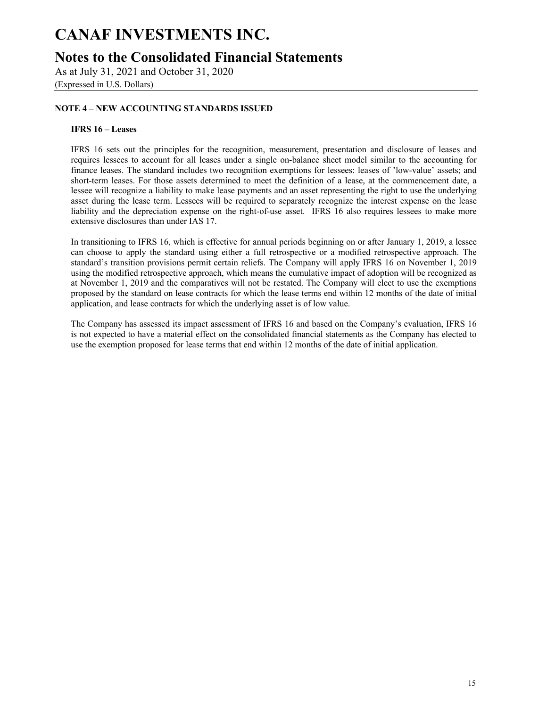## **Notes to the Consolidated Financial Statements**

As at July 31, 2021 and October 31, 2020

(Expressed in U.S. Dollars)

### **NOTE 4 – NEW ACCOUNTING STANDARDS ISSUED**

#### **IFRS 16 – Leases**

IFRS 16 sets out the principles for the recognition, measurement, presentation and disclosure of leases and requires lessees to account for all leases under a single on-balance sheet model similar to the accounting for finance leases. The standard includes two recognition exemptions for lessees: leases of 'low-value' assets; and short-term leases. For those assets determined to meet the definition of a lease, at the commencement date, a lessee will recognize a liability to make lease payments and an asset representing the right to use the underlying asset during the lease term. Lessees will be required to separately recognize the interest expense on the lease liability and the depreciation expense on the right-of-use asset. IFRS 16 also requires lessees to make more extensive disclosures than under IAS 17.

In transitioning to IFRS 16, which is effective for annual periods beginning on or after January 1, 2019, a lessee can choose to apply the standard using either a full retrospective or a modified retrospective approach. The standard's transition provisions permit certain reliefs. The Company will apply IFRS 16 on November 1, 2019 using the modified retrospective approach, which means the cumulative impact of adoption will be recognized as at November 1, 2019 and the comparatives will not be restated. The Company will elect to use the exemptions proposed by the standard on lease contracts for which the lease terms end within 12 months of the date of initial application, and lease contracts for which the underlying asset is of low value.

The Company has assessed its impact assessment of IFRS 16 and based on the Company's evaluation, IFRS 16 is not expected to have a material effect on the consolidated financial statements as the Company has elected to use the exemption proposed for lease terms that end within 12 months of the date of initial application.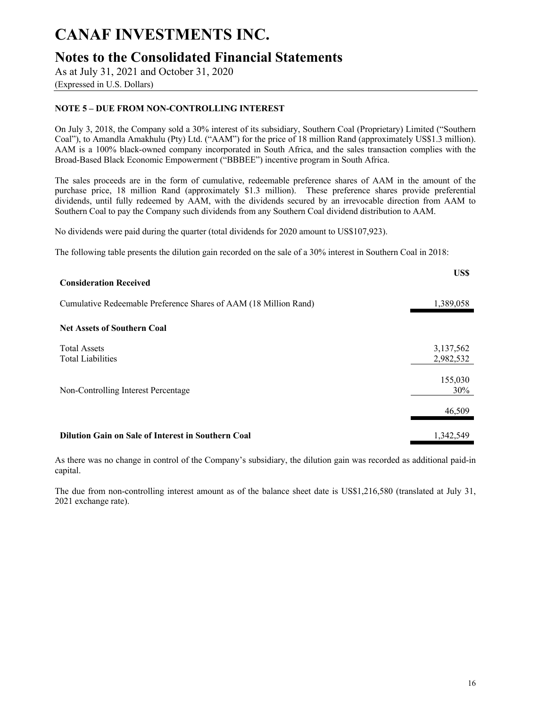## **Notes to the Consolidated Financial Statements**

As at July 31, 2021 and October 31, 2020

### (Expressed in U.S. Dollars)

### **NOTE 5 – DUE FROM NON-CONTROLLING INTEREST**

On July 3, 2018, the Company sold a 30% interest of its subsidiary, Southern Coal (Proprietary) Limited ("Southern Coal"), to Amandla Amakhulu (Pty) Ltd. ("AAM") for the price of 18 million Rand (approximately US\$1.3 million). AAM is a 100% black-owned company incorporated in South Africa, and the sales transaction complies with the Broad-Based Black Economic Empowerment ("BBBEE") incentive program in South Africa.

The sales proceeds are in the form of cumulative, redeemable preference shares of AAM in the amount of the purchase price, 18 million Rand (approximately \$1.3 million). These preference shares provide preferential dividends, until fully redeemed by AAM, with the dividends secured by an irrevocable direction from AAM to Southern Coal to pay the Company such dividends from any Southern Coal dividend distribution to AAM.

No dividends were paid during the quarter (total dividends for 2020 amount to US\$107,923).

The following table presents the dilution gain recorded on the sale of a 30% interest in Southern Coal in 2018:

| <b>Consideration Received</b>                                    | US\$                   |
|------------------------------------------------------------------|------------------------|
| Cumulative Redeemable Preference Shares of AAM (18 Million Rand) | 1,389,058              |
| <b>Net Assets of Southern Coal</b>                               |                        |
| <b>Total Assets</b><br><b>Total Liabilities</b>                  | 3,137,562<br>2,982,532 |
| Non-Controlling Interest Percentage                              | 155,030<br>30%         |
|                                                                  | 46,509                 |
| <b>Dilution Gain on Sale of Interest in Southern Coal</b>        | 1,342,549              |

As there was no change in control of the Company's subsidiary, the dilution gain was recorded as additional paid-in capital.

The due from non-controlling interest amount as of the balance sheet date is US\$1,216,580 (translated at July 31, 2021 exchange rate).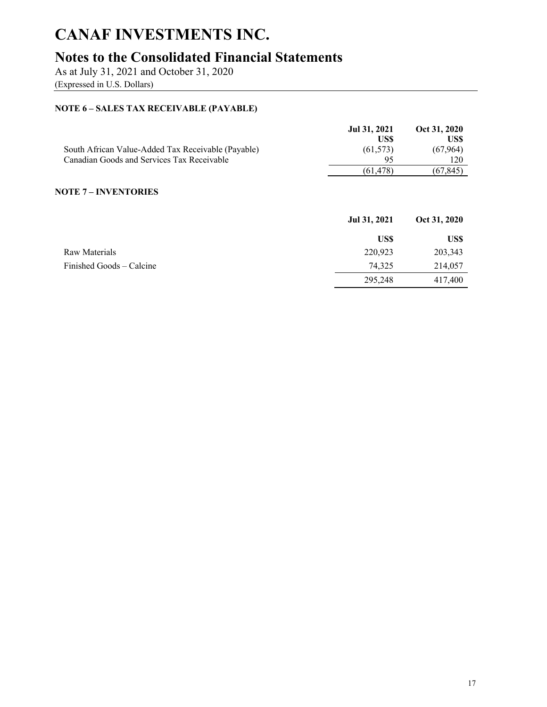## **Notes to the Consolidated Financial Statements**

As at July 31, 2021 and October 31, 2020

(Expressed in U.S. Dollars)

### **NOTE 6 – SALES TAX RECEIVABLE (PAYABLE)**

|                                                    | Jul 31, 2021<br>US\$ | Oct 31, 2020<br>US\$ |
|----------------------------------------------------|----------------------|----------------------|
| South African Value-Added Tax Receivable (Payable) | (61, 573)            | (67, 964)            |
| Canadian Goods and Services Tax Receivable         | 95                   | 120                  |
|                                                    | (61, 478)            | (67, 845)            |
| <b>NOTE 7 – INVENTORIES</b>                        | Jul 31, 2021         | Oct 31, 2020         |
|                                                    | US\$                 | US\$                 |
| Raw Materials                                      | 220,923              | 203,343              |
| Finished Goods – Calcine                           | 74,325               | 214,057              |
|                                                    | 295,248              | 417,400              |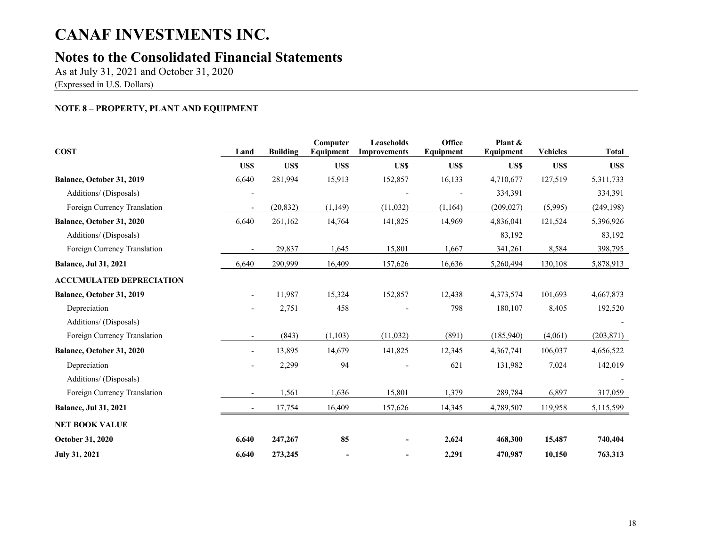# **Notes to the Consolidated Financial Statements**

As at July 31, 2021 and October 31, 2020 (Expressed in U.S. Dollars)

### **NOTE 8 – PROPERTY, PLANT AND EQUIPMENT**

| <b>COST</b>                     | Land                     | <b>Building</b> | Computer<br>Equipment | <b>Leaseholds</b><br><b>Improvements</b> | Office<br>Equipment | Plant &<br>Equipment | <b>Vehicles</b> | <b>Total</b> |
|---------------------------------|--------------------------|-----------------|-----------------------|------------------------------------------|---------------------|----------------------|-----------------|--------------|
|                                 | US\$                     | US\$            | US\$                  | US\$                                     | US\$                | <b>USS</b>           | US\$            | US\$         |
| Balance, October 31, 2019       | 6,640                    | 281,994         | 15,913                | 152,857                                  | 16,133              | 4,710,677            | 127,519         | 5,311,733    |
| Additions/ (Disposals)          |                          |                 |                       |                                          |                     | 334,391              |                 | 334,391      |
| Foreign Currency Translation    | $\overline{\phantom{a}}$ | (20, 832)       | (1, 149)              | (11, 032)                                | (1,164)             | (209, 027)           | (5,995)         | (249, 198)   |
| Balance, October 31, 2020       | 6,640                    | 261,162         | 14,764                | 141,825                                  | 14,969              | 4,836,041            | 121,524         | 5,396,926    |
| Additions/ (Disposals)          |                          |                 |                       |                                          |                     | 83,192               |                 | 83,192       |
| Foreign Currency Translation    |                          | 29,837          | 1,645                 | 15,801                                   | 1,667               | 341,261              | 8,584           | 398,795      |
| <b>Balance, Jul 31, 2021</b>    | 6,640                    | 290,999         | 16,409                | 157,626                                  | 16,636              | 5,260,494            | 130,108         | 5,878,913    |
| <b>ACCUMULATED DEPRECIATION</b> |                          |                 |                       |                                          |                     |                      |                 |              |
| Balance, October 31, 2019       |                          | 11,987          | 15,324                | 152,857                                  | 12,438              | 4,373,574            | 101,693         | 4,667,873    |
| Depreciation                    |                          | 2,751           | 458                   |                                          | 798                 | 180,107              | 8,405           | 192,520      |
| Additions/ (Disposals)          |                          |                 |                       |                                          |                     |                      |                 |              |
| Foreign Currency Translation    | $\overline{\phantom{a}}$ | (843)           | (1,103)               | (11, 032)                                | (891)               | (185,940)            | (4,061)         | (203, 871)   |
| Balance, October 31, 2020       | $\overline{\phantom{0}}$ | 13,895          | 14,679                | 141,825                                  | 12,345              | 4,367,741            | 106,037         | 4,656,522    |
| Depreciation                    |                          | 2,299           | 94                    |                                          | 621                 | 131,982              | 7,024           | 142,019      |
| Additions/ (Disposals)          |                          |                 |                       |                                          |                     |                      |                 |              |
| Foreign Currency Translation    | $\overline{\phantom{a}}$ | 1,561           | 1,636                 | 15,801                                   | 1,379               | 289,784              | 6,897           | 317,059      |
| <b>Balance, Jul 31, 2021</b>    |                          | 17,754          | 16,409                | 157,626                                  | 14,345              | 4,789,507            | 119,958         | 5,115,599    |
| <b>NET BOOK VALUE</b>           |                          |                 |                       |                                          |                     |                      |                 |              |
| <b>October 31, 2020</b>         | 6,640                    | 247,267         | 85                    |                                          | 2,624               | 468,300              | 15,487          | 740,404      |
| <b>July 31, 2021</b>            | 6,640                    | 273,245         |                       |                                          | 2,291               | 470,987              | 10,150          | 763,313      |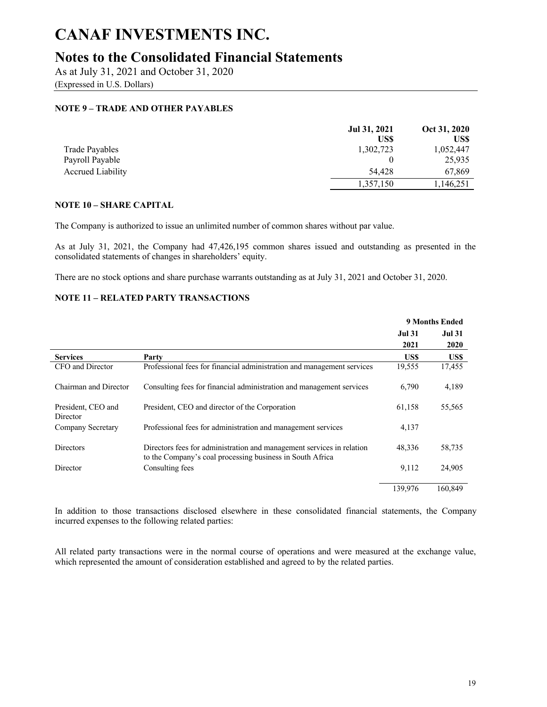## **Notes to the Consolidated Financial Statements**

As at July 31, 2021 and October 31, 2020

(Expressed in U.S. Dollars)

### **NOTE 9 – TRADE AND OTHER PAYABLES**

|                          | Jul 31, 2021 | Oct 31, 2020 |
|--------------------------|--------------|--------------|
|                          | US\$         | US\$         |
| Trade Payables           | 1,302,723    | 1,052,447    |
| Payroll Payable          |              | 25,935       |
| <b>Accrued Liability</b> | 54,428       | 67,869       |
|                          | 1,357,150    | 1,146,251    |

#### **NOTE 10 – SHARE CAPITAL**

The Company is authorized to issue an unlimited number of common shares without par value.

As at July 31, 2021, the Company had 47,426,195 common shares issued and outstanding as presented in the consolidated statements of changes in shareholders' equity.

There are no stock options and share purchase warrants outstanding as at July 31, 2021 and October 31, 2020.

#### **NOTE 11 – RELATED PARTY TRANSACTIONS**

|                                |                                                                                                                                    |               | <b>9 Months Ended</b> |
|--------------------------------|------------------------------------------------------------------------------------------------------------------------------------|---------------|-----------------------|
|                                |                                                                                                                                    | <b>Jul 31</b> | <b>Jul 31</b>         |
|                                |                                                                                                                                    | 2021          | 2020                  |
| <b>Services</b>                | Party                                                                                                                              | US\$          | US\$                  |
| CFO and Director               | Professional fees for financial administration and management services                                                             | 19,555        | 17,455                |
| Chairman and Director          | Consulting fees for financial administration and management services                                                               | 6,790         | 4,189                 |
| President, CEO and<br>Director | President, CEO and director of the Corporation                                                                                     | 61,158        | 55,565                |
| Company Secretary              | Professional fees for administration and management services                                                                       | 4,137         |                       |
| <b>Directors</b>               | Directors fees for administration and management services in relation<br>to the Company's coal processing business in South Africa | 48,336        | 58,735                |
| Director                       | Consulting fees                                                                                                                    | 9,112         | 24,905                |
|                                |                                                                                                                                    | 139,976       | 160.849               |

In addition to those transactions disclosed elsewhere in these consolidated financial statements, the Company incurred expenses to the following related parties:

All related party transactions were in the normal course of operations and were measured at the exchange value, which represented the amount of consideration established and agreed to by the related parties.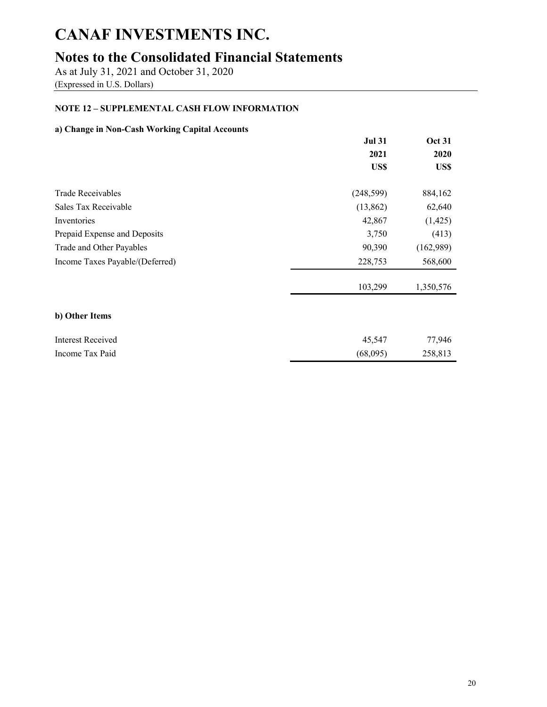# **Notes to the Consolidated Financial Statements**

As at July 31, 2021 and October 31, 2020 (Expressed in U.S. Dollars)

### **NOTE 12 – SUPPLEMENTAL CASH FLOW INFORMATION**

### **a) Change in Non-Cash Working Capital Accounts**

|                                 | <b>Jul 31</b> | <b>Oct 31</b> |
|---------------------------------|---------------|---------------|
|                                 | 2021          | 2020          |
|                                 | US\$          | US\$          |
| <b>Trade Receivables</b>        | (248, 599)    | 884,162       |
| Sales Tax Receivable            | (13,862)      | 62,640        |
| Inventories                     | 42,867        | (1, 425)      |
| Prepaid Expense and Deposits    | 3,750         | (413)         |
| Trade and Other Payables        | 90,390        | (162,989)     |
| Income Taxes Payable/(Deferred) | 228,753       | 568,600       |
|                                 | 103,299       | 1,350,576     |
| b) Other Items                  |               |               |
| <b>Interest Received</b>        | 45,547        | 77,946        |
| Income Tax Paid                 | (68,095)      | 258,813       |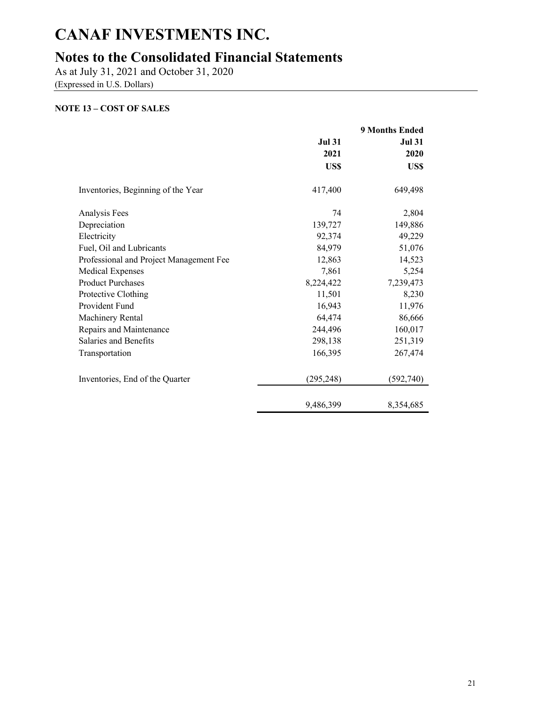## **Notes to the Consolidated Financial Statements**

As at July 31, 2021 and October 31, 2020

(Expressed in U.S. Dollars)

### **NOTE 13 – COST OF SALES**

|                                         | <b>9 Months Ended</b> |               |  |
|-----------------------------------------|-----------------------|---------------|--|
|                                         | <b>Jul 31</b>         | <b>Jul 31</b> |  |
|                                         | 2021                  | 2020          |  |
|                                         | US\$                  | US\$          |  |
| Inventories, Beginning of the Year      | 417,400               | 649,498       |  |
| Analysis Fees                           | 74                    | 2,804         |  |
| Depreciation                            | 139,727               | 149,886       |  |
| Electricity                             | 92,374                | 49,229        |  |
| Fuel, Oil and Lubricants                | 84,979<br>51,076      |               |  |
| Professional and Project Management Fee | 12,863                | 14,523        |  |
| <b>Medical Expenses</b>                 | 7,861                 | 5,254         |  |
| <b>Product Purchases</b>                | 8,224,422             | 7,239,473     |  |
| Protective Clothing                     | 11,501                | 8,230         |  |
| Provident Fund                          | 16,943                | 11,976        |  |
| Machinery Rental                        | 64,474                | 86,666        |  |
| Repairs and Maintenance                 | 244,496               | 160,017       |  |
| Salaries and Benefits                   | 298,138               | 251,319       |  |
| Transportation                          | 166,395               | 267,474       |  |
| Inventories, End of the Quarter         | (295, 248)            | (592, 740)    |  |
|                                         | 9,486,399             | 8,354,685     |  |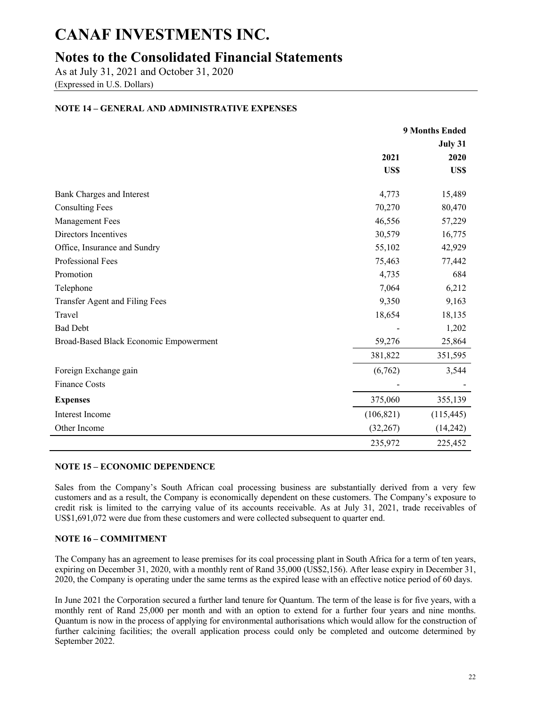## **Notes to the Consolidated Financial Statements**

As at July 31, 2021 and October 31, 2020

(Expressed in U.S. Dollars)

### **NOTE 14 – GENERAL AND ADMINISTRATIVE EXPENSES**

|                                        | 9 Months Ended |            |
|----------------------------------------|----------------|------------|
|                                        |                | July 31    |
|                                        | 2021           | 2020       |
|                                        | US\$           | US\$       |
| <b>Bank Charges and Interest</b>       | 4,773          | 15,489     |
| <b>Consulting Fees</b>                 | 70,270         | 80,470     |
| <b>Management Fees</b>                 | 46,556         | 57,229     |
| Directors Incentives                   | 30,579         | 16,775     |
| Office, Insurance and Sundry           | 55,102         | 42,929     |
| Professional Fees                      | 75,463         | 77,442     |
| Promotion                              | 4,735          | 684        |
| Telephone                              | 7,064          | 6,212      |
| Transfer Agent and Filing Fees         | 9,350          | 9,163      |
| Travel                                 | 18,654         | 18,135     |
| <b>Bad Debt</b>                        |                | 1,202      |
| Broad-Based Black Economic Empowerment | 59,276         | 25,864     |
|                                        | 381,822        | 351,595    |
| Foreign Exchange gain                  | (6,762)        | 3,544      |
| <b>Finance Costs</b>                   |                |            |
| <b>Expenses</b>                        | 375,060        | 355,139    |
| Interest Income                        | (106, 821)     | (115, 445) |
| Other Income                           | (32, 267)      | (14,242)   |
|                                        | 235,972        | 225,452    |

#### **NOTE 15 – ECONOMIC DEPENDENCE**

Sales from the Company's South African coal processing business are substantially derived from a very few customers and as a result, the Company is economically dependent on these customers. The Company's exposure to credit risk is limited to the carrying value of its accounts receivable. As at July 31, 2021, trade receivables of US\$1,691,072 were due from these customers and were collected subsequent to quarter end.

#### **NOTE 16 – COMMITMENT**

The Company has an agreement to lease premises for its coal processing plant in South Africa for a term of ten years, expiring on December 31, 2020, with a monthly rent of Rand 35,000 (US\$2,156). After lease expiry in December 31, 2020, the Company is operating under the same terms as the expired lease with an effective notice period of 60 days.

In June 2021 the Corporation secured a further land tenure for Quantum. The term of the lease is for five years, with a monthly rent of Rand 25,000 per month and with an option to extend for a further four years and nine months. Quantum is now in the process of applying for environmental authorisations which would allow for the construction of further calcining facilities; the overall application process could only be completed and outcome determined by September 2022.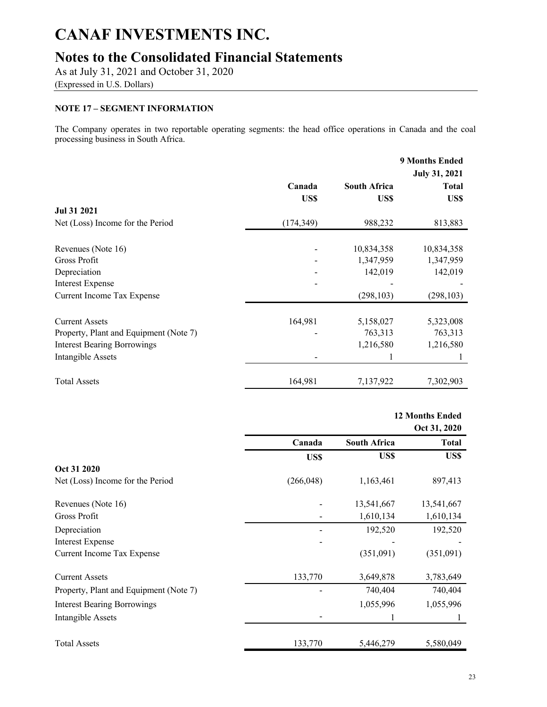## **Notes to the Consolidated Financial Statements**

As at July 31, 2021 and October 31, 2020

(Expressed in U.S. Dollars)

### **NOTE 17 – SEGMENT INFORMATION**

The Company operates in two reportable operating segments: the head office operations in Canada and the coal processing business in South Africa.

|                                        |            |                     | <b>9 Months Ended</b><br><b>July 31, 2021</b> |
|----------------------------------------|------------|---------------------|-----------------------------------------------|
|                                        | Canada     | <b>South Africa</b> | <b>Total</b>                                  |
|                                        | US\$       | US\$                | US\$                                          |
| Jul 31 2021                            |            |                     |                                               |
| Net (Loss) Income for the Period       | (174, 349) | 988,232             | 813,883                                       |
|                                        |            |                     |                                               |
| Revenues (Note 16)                     |            | 10,834,358          | 10,834,358                                    |
| Gross Profit                           |            | 1,347,959           | 1,347,959                                     |
| Depreciation                           |            | 142,019             | 142,019                                       |
| <b>Interest Expense</b>                |            |                     |                                               |
| Current Income Tax Expense             |            | (298, 103)          | (298, 103)                                    |
|                                        |            |                     |                                               |
| <b>Current Assets</b>                  | 164,981    | 5,158,027           | 5,323,008                                     |
| Property, Plant and Equipment (Note 7) |            | 763,313             | 763,313                                       |
| <b>Interest Bearing Borrowings</b>     |            | 1,216,580           | 1,216,580                                     |
| Intangible Assets                      |            |                     |                                               |
| <b>Total Assets</b>                    | 164,981    | 7,137,922           | 7,302,903                                     |

|                                        |            |                     | <b>12 Months Ended</b><br>Oct 31, 2020 |
|----------------------------------------|------------|---------------------|----------------------------------------|
|                                        | Canada     | <b>South Africa</b> | <b>Total</b>                           |
|                                        | US\$       | US\$                | US\$                                   |
| Oct 31 2020                            |            |                     |                                        |
| Net (Loss) Income for the Period       | (266, 048) | 1,163,461           | 897,413                                |
| Revenues (Note 16)                     |            | 13,541,667          | 13,541,667                             |
| Gross Profit                           |            | 1,610,134           | 1,610,134                              |
| Depreciation                           |            | 192,520             | 192,520                                |
| <b>Interest Expense</b>                |            |                     |                                        |
| Current Income Tax Expense             |            | (351,091)           | (351,091)                              |
| <b>Current Assets</b>                  | 133,770    | 3,649,878           | 3,783,649                              |
| Property, Plant and Equipment (Note 7) |            | 740,404             | 740,404                                |
| <b>Interest Bearing Borrowings</b>     |            | 1,055,996           | 1,055,996                              |
| Intangible Assets                      |            |                     |                                        |
| <b>Total Assets</b>                    | 133,770    | 5,446,279           | 5,580,049                              |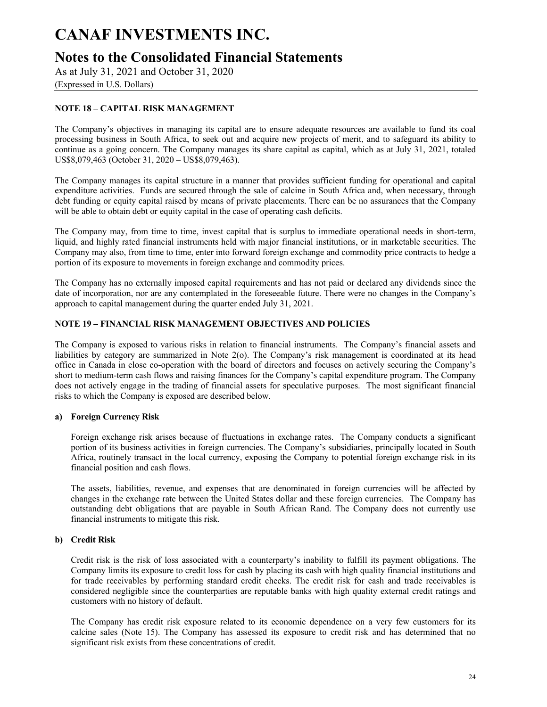## **Notes to the Consolidated Financial Statements**

As at July 31, 2021 and October 31, 2020

(Expressed in U.S. Dollars)

### **NOTE 18 – CAPITAL RISK MANAGEMENT**

The Company's objectives in managing its capital are to ensure adequate resources are available to fund its coal processing business in South Africa, to seek out and acquire new projects of merit, and to safeguard its ability to continue as a going concern. The Company manages its share capital as capital, which as at July 31, 2021, totaled US\$8,079,463 (October 31, 2020 – US\$8,079,463).

The Company manages its capital structure in a manner that provides sufficient funding for operational and capital expenditure activities. Funds are secured through the sale of calcine in South Africa and, when necessary, through debt funding or equity capital raised by means of private placements. There can be no assurances that the Company will be able to obtain debt or equity capital in the case of operating cash deficits.

The Company may, from time to time, invest capital that is surplus to immediate operational needs in short-term, liquid, and highly rated financial instruments held with major financial institutions, or in marketable securities. The Company may also, from time to time, enter into forward foreign exchange and commodity price contracts to hedge a portion of its exposure to movements in foreign exchange and commodity prices.

The Company has no externally imposed capital requirements and has not paid or declared any dividends since the date of incorporation, nor are any contemplated in the foreseeable future. There were no changes in the Company's approach to capital management during the quarter ended July 31, 2021.

#### **NOTE 19 – FINANCIAL RISK MANAGEMENT OBJECTIVES AND POLICIES**

The Company is exposed to various risks in relation to financial instruments. The Company's financial assets and liabilities by category are summarized in Note 2(o). The Company's risk management is coordinated at its head office in Canada in close co-operation with the board of directors and focuses on actively securing the Company's short to medium-term cash flows and raising finances for the Company's capital expenditure program. The Company does not actively engage in the trading of financial assets for speculative purposes. The most significant financial risks to which the Company is exposed are described below.

#### **a) Foreign Currency Risk**

Foreign exchange risk arises because of fluctuations in exchange rates. The Company conducts a significant portion of its business activities in foreign currencies. The Company's subsidiaries, principally located in South Africa, routinely transact in the local currency, exposing the Company to potential foreign exchange risk in its financial position and cash flows.

The assets, liabilities, revenue, and expenses that are denominated in foreign currencies will be affected by changes in the exchange rate between the United States dollar and these foreign currencies. The Company has outstanding debt obligations that are payable in South African Rand. The Company does not currently use financial instruments to mitigate this risk.

#### **b) Credit Risk**

Credit risk is the risk of loss associated with a counterparty's inability to fulfill its payment obligations. The Company limits its exposure to credit loss for cash by placing its cash with high quality financial institutions and for trade receivables by performing standard credit checks. The credit risk for cash and trade receivables is considered negligible since the counterparties are reputable banks with high quality external credit ratings and customers with no history of default.

The Company has credit risk exposure related to its economic dependence on a very few customers for its calcine sales (Note 15). The Company has assessed its exposure to credit risk and has determined that no significant risk exists from these concentrations of credit.